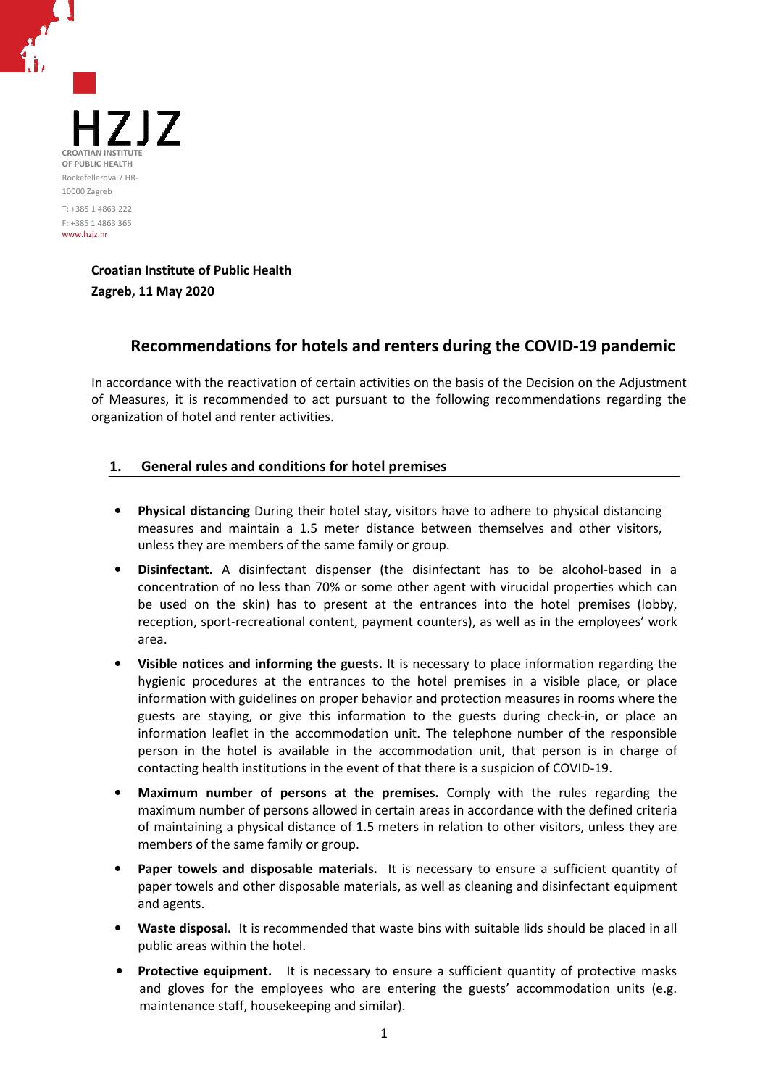

**Croatian Institute of Public Health Zagreb, 11 May 2020**

# **Recommendations for hotels and renters during the COVID-19 pandemic**

In accordance with the reactivation of certain activities on the basis of the Decision on the Adjustment of Measures, it is recommended to act pursuant to the following recommendations regarding the organization of hotel and renter activities.

## **1. General rules and conditions for hotel premises**

- **Physical distancing** During their hotel stay, visitors have to adhere to physical distancing measures and maintain a 1.5 meter distance between themselves and other visitors, unless they are members of the same family or group.
- **Disinfectant.** A disinfectant dispenser (the disinfectant has to be alcohol-based in a concentration of no less than 70% or some other agent with virucidal properties which can be used on the skin) has to present at the entrances into the hotel premises (lobby, reception, sport-recreational content, payment counters), as well as in the employees' work area.
- **Visible notices and informing the guests.** It is necessary to place information regarding the hygienic procedures at the entrances to the hotel premises in a visible place, or place information with guidelines on proper behavior and protection measures in rooms where the guests are staying, or give this information to the guests during check-in, or place an information leaflet in the accommodation unit. The telephone number of the responsible person in the hotel is available in the accommodation unit, that person is in charge of contacting health institutions in the event of that there is a suspicion of COVID-19.
- **Maximum number of persons at the premises.** Comply with the rules regarding the maximum number of persons allowed in certain areas in accordance with the defined criteria of maintaining a physical distance of 1.5 meters in relation to other visitors, unless they are members of the same family or group.
- Paper towels and disposable materials. It is necessary to ensure a sufficient quantity of paper towels and other disposable materials, as well as cleaning and disinfectant equipment and agents.
- **Waste disposal.** It is recommended that waste bins with suitable lids should be placed in all public areas within the hotel.
- **Protective equipment.** It is necessary to ensure a sufficient quantity of protective masks and gloves for the employees who are entering the guests' accommodation units (e.g. maintenance staff, housekeeping and similar).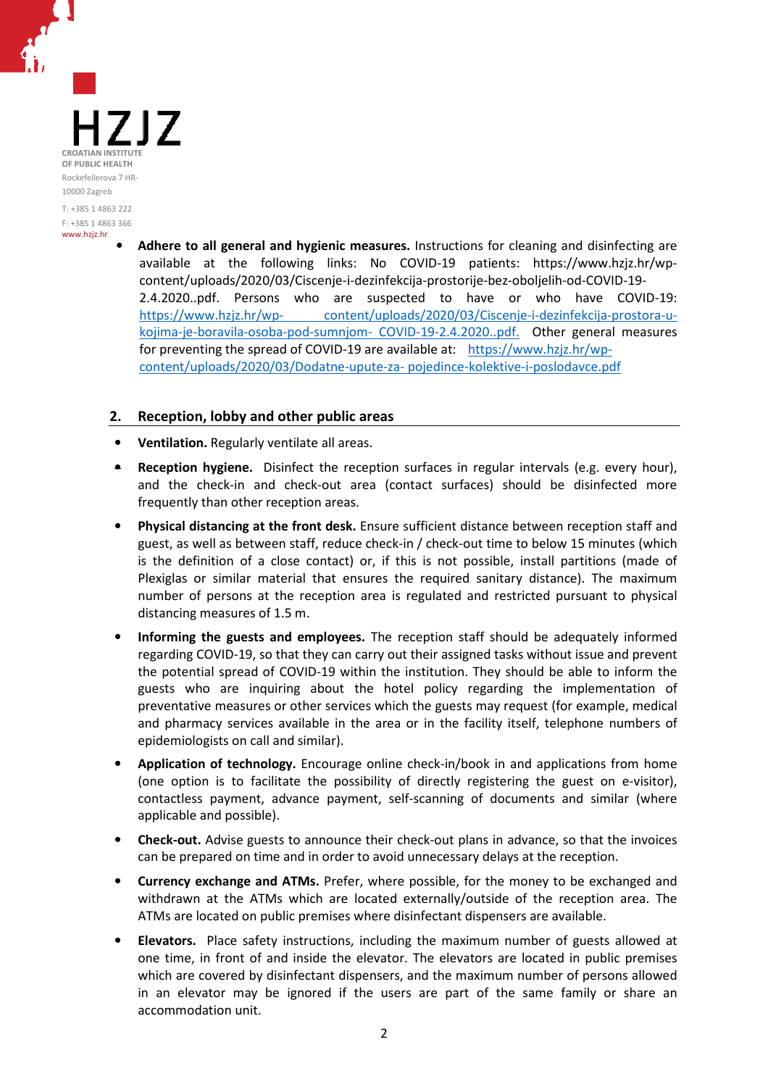1717 CROATIAN INSTITUT **OF PUBLIC HEALTH** Rockefellerova 7 HR-10000 Zagreb T: +385 1 4863 222 F: +385 1 4863 366

www.hzjz.hr

• **Adhere to all general and hygienic measures.** Instructions for cleaning and disinfecting are available at the following links: No COVID-19 patients: https://www.hzjz.hr/wpcontent/uploads/2020/03/Ciscenje-i-dezinfekcija-prostorije-bez-oboljelih-od-COVID-19- 2.4.2020..pdf. Persons who are suspected to have or who have COVID-19: https://www.hzjz.hr/wp- content/uploads/2020/03/Ciscenje-i-dezinfekcija-prostora-ukojima-je-boravila-osoba-pod-sumnjom- COVID-19-2.4.2020..pdf. Other general measures for preventing the spread of COVID-19 are available at: https://www.hzjz.hr/wpcontent/uploads/2020/03/Dodatne-upute-za- pojedince-kolektive-i-poslodavce.pdf

#### **2. Reception, lobby and other public areas**

- **Ventilation.** Regularly ventilate all areas.
- **Reception hygiene.** Disinfect the reception surfaces in regular intervals (e.g. every hour), and the check-in and check-out area (contact surfaces) should be disinfected more frequently than other reception areas.
- **Physical distancing at the front desk.** Ensure sufficient distance between reception staff and guest, as well as between staff, reduce check-in / check-out time to below 15 minutes (which is the definition of a close contact) or, if this is not possible, install partitions (made of Plexiglas or similar material that ensures the required sanitary distance). The maximum number of persons at the reception area is regulated and restricted pursuant to physical distancing measures of 1.5 m.
- **Informing the guests and employees.** The reception staff should be adequately informed regarding COVID-19, so that they can carry out their assigned tasks without issue and prevent the potential spread of COVID-19 within the institution. They should be able to inform the guests who are inquiring about the hotel policy regarding the implementation of preventative measures or other services which the guests may request (for example, medical and pharmacy services available in the area or in the facility itself, telephone numbers of epidemiologists on call and similar).
- **Application of technology.** Encourage online check-in/book in and applications from home (one option is to facilitate the possibility of directly registering the guest on e-visitor), contactless payment, advance payment, self-scanning of documents and similar (where applicable and possible).
- **Check-out.** Advise guests to announce their check-out plans in advance, so that the invoices can be prepared on time and in order to avoid unnecessary delays at the reception.
- **Currency exchange and ATMs.** Prefer, where possible, for the money to be exchanged and withdrawn at the ATMs which are located externally/outside of the reception area. The ATMs are located on public premises where disinfectant dispensers are available.
- **Elevators.** Place safety instructions, including the maximum number of guests allowed at one time, in front of and inside the elevator. The elevators are located in public premises which are covered by disinfectant dispensers, and the maximum number of persons allowed in an elevator may be ignored if the users are part of the same family or share an accommodation unit.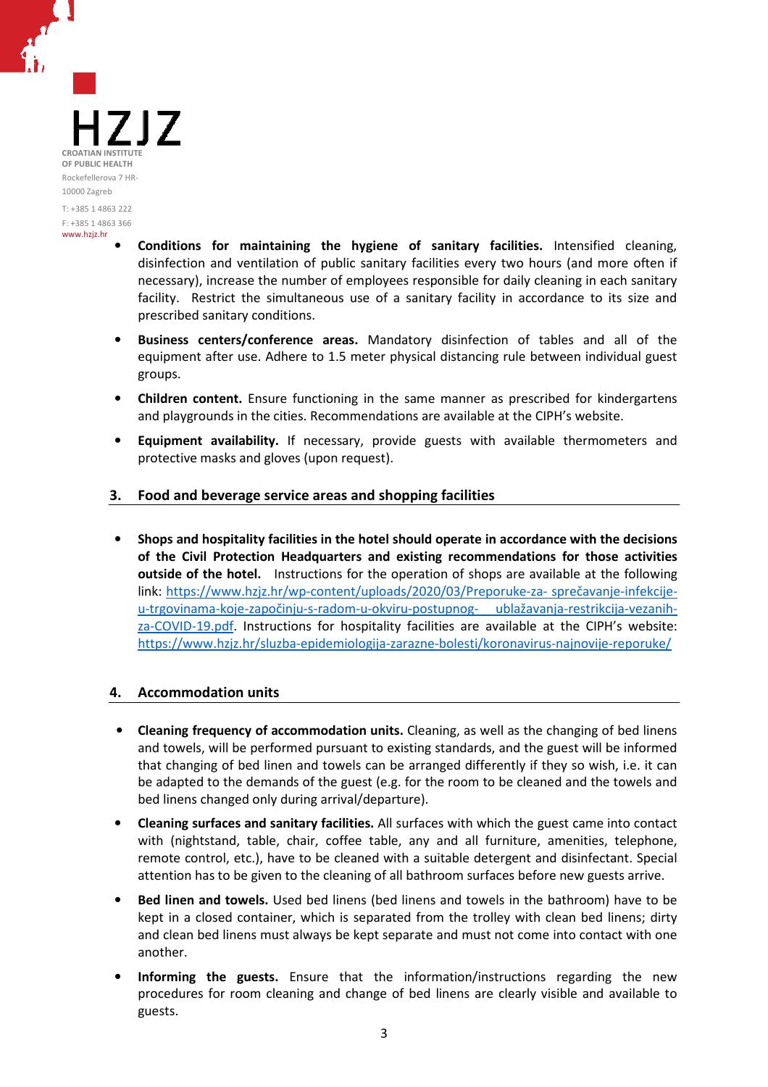717 CROATIAN INSTITUT **OF PUBLIC HEALTH** Rockefellerova 7 HR-10000 Zagreb T: +385 1 4863 222 F: +385 1 4863 366

www.hzjz.hr

- **Conditions for maintaining the hygiene of sanitary facilities.** Intensified cleaning, disinfection and ventilation of public sanitary facilities every two hours (and more often if necessary), increase the number of employees responsible for daily cleaning in each sanitary facility. Restrict the simultaneous use of a sanitary facility in accordance to its size and prescribed sanitary conditions.
- **Business centers/conference areas.** Mandatory disinfection of tables and all of the equipment after use. Adhere to 1.5 meter physical distancing rule between individual guest groups.
- **Children content.** Ensure functioning in the same manner as prescribed for kindergartens and playgrounds in the cities. Recommendations are available at the CIPH's website.
- **Equipment availability.** If necessary, provide guests with available thermometers and protective masks and gloves (upon request).

# **3. Food and beverage service areas and shopping facilities**

• **Shops and hospitality facilities in the hotel should operate in accordance with the decisions of the Civil Protection Headquarters and existing recommendations for those activities outside of the hotel.** Instructions for the operation of shops are available at the following link: https://www.hzjz.hr/wp-content/uploads/2020/03/Preporuke-za- sprečavanje-infekcijeu-trgovinama-koje-započinju-s-radom-u-okviru-postupnog- ublažavanja-restrikcija-vezanihza-COVID-19.pdf. Instructions for hospitality facilities are available at the CIPH's website: https://www.hzjz.hr/sluzba-epidemiologija-zarazne-bolesti/koronavirus-najnovije-reporuke/

## **4. Accommodation units**

- **Cleaning frequency of accommodation units.** Cleaning, as well as the changing of bed linens and towels, will be performed pursuant to existing standards, and the guest will be informed that changing of bed linen and towels can be arranged differently if they so wish, i.e. it can be adapted to the demands of the guest (e.g. for the room to be cleaned and the towels and bed linens changed only during arrival/departure).
- **Cleaning surfaces and sanitary facilities.** All surfaces with which the guest came into contact with (nightstand, table, chair, coffee table, any and all furniture, amenities, telephone, remote control, etc.), have to be cleaned with a suitable detergent and disinfectant. Special attention has to be given to the cleaning of all bathroom surfaces before new guests arrive.
- **Bed linen and towels.** Used bed linens (bed linens and towels in the bathroom) have to be kept in a closed container, which is separated from the trolley with clean bed linens; dirty and clean bed linens must always be kept separate and must not come into contact with one another.
- **Informing the guests.** Ensure that the information/instructions regarding the new procedures for room cleaning and change of bed linens are clearly visible and available to guests.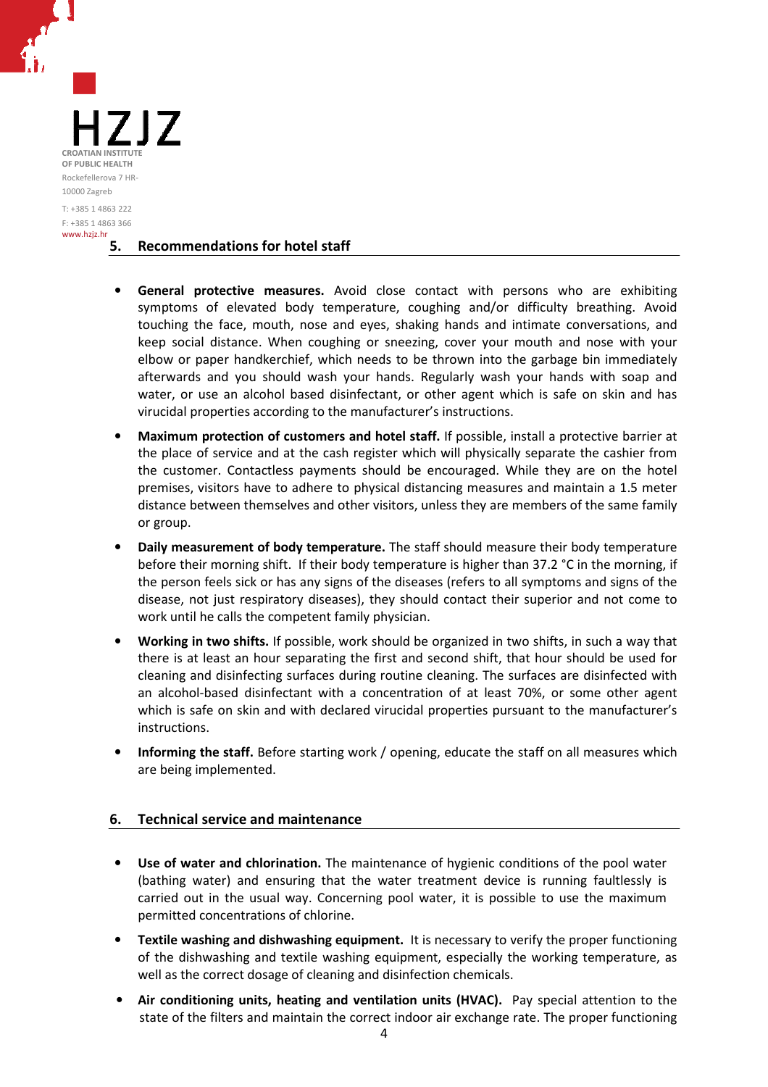

#### **5. Recommendations for hotel staff**

- **General protective measures.** Avoid close contact with persons who are exhibiting symptoms of elevated body temperature, coughing and/or difficulty breathing. Avoid touching the face, mouth, nose and eyes, shaking hands and intimate conversations, and keep social distance. When coughing or sneezing, cover your mouth and nose with your elbow or paper handkerchief, which needs to be thrown into the garbage bin immediately afterwards and you should wash your hands. Regularly wash your hands with soap and water, or use an alcohol based disinfectant, or other agent which is safe on skin and has virucidal properties according to the manufacturer's instructions.
- **Maximum protection of customers and hotel staff.** If possible, install a protective barrier at the place of service and at the cash register which will physically separate the cashier from the customer. Contactless payments should be encouraged. While they are on the hotel premises, visitors have to adhere to physical distancing measures and maintain a 1.5 meter distance between themselves and other visitors, unless they are members of the same family or group.
- **Daily measurement of body temperature.** The staff should measure their body temperature before their morning shift. If their body temperature is higher than 37.2 °C in the morning, if the person feels sick or has any signs of the diseases (refers to all symptoms and signs of the disease, not just respiratory diseases), they should contact their superior and not come to work until he calls the competent family physician.
- **Working in two shifts.** If possible, work should be organized in two shifts, in such a way that there is at least an hour separating the first and second shift, that hour should be used for cleaning and disinfecting surfaces during routine cleaning. The surfaces are disinfected with an alcohol-based disinfectant with a concentration of at least 70%, or some other agent which is safe on skin and with declared virucidal properties pursuant to the manufacturer's instructions.
- **Informing the staff.** Before starting work / opening, educate the staff on all measures which are being implemented.

## **6. Technical service and maintenance**

- **Use of water and chlorination.** The maintenance of hygienic conditions of the pool water (bathing water) and ensuring that the water treatment device is running faultlessly is carried out in the usual way. Concerning pool water, it is possible to use the maximum permitted concentrations of chlorine.
- **Textile washing and dishwashing equipment.** It is necessary to verify the proper functioning of the dishwashing and textile washing equipment, especially the working temperature, as well as the correct dosage of cleaning and disinfection chemicals.
- **Air conditioning units, heating and ventilation units (HVAC).** Pay special attention to the state of the filters and maintain the correct indoor air exchange rate. The proper functioning